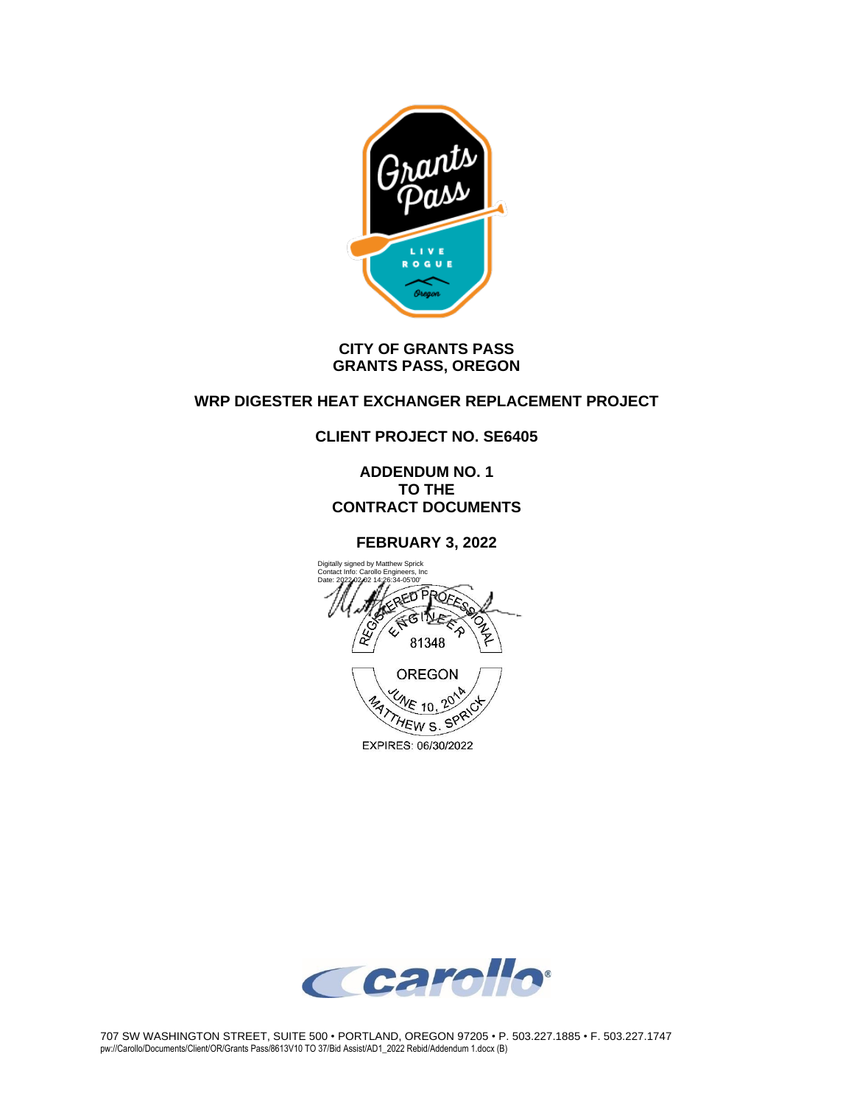

#### **CITY OF GRANTS PASS GRANTS PASS, OREGON**

### **WRP DIGESTER HEAT EXCHANGER REPLACEMENT PROJECT**

### **CLIENT PROJECT NO. SE6405**

**ADDENDUM NO. 1 TO THE CONTRACT DOCUMENTS**

#### **FEBRUARY 3, 2022**



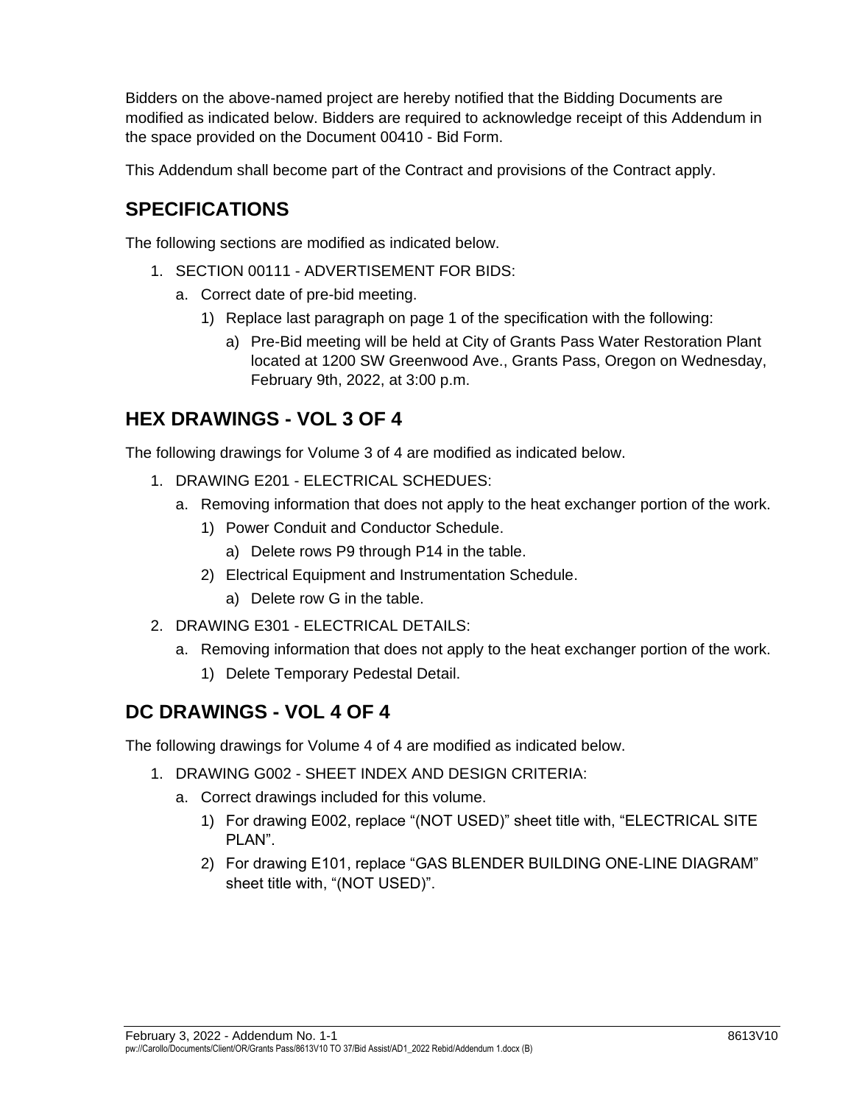Bidders on the above-named project are hereby notified that the Bidding Documents are modified as indicated below. Bidders are required to acknowledge receipt of this Addendum in the space provided on the Document 00410 - Bid Form.

This Addendum shall become part of the Contract and provisions of the Contract apply.

# **SPECIFICATIONS**

The following sections are modified as indicated below.

- 1. SECTION 00111 ADVERTISEMENT FOR BIDS:
	- a. Correct date of pre-bid meeting.
		- 1) Replace last paragraph on page 1 of the specification with the following:
			- a) Pre-Bid meeting will be held at City of Grants Pass Water Restoration Plant located at 1200 SW Greenwood Ave., Grants Pass, Oregon on Wednesday, February 9th, 2022, at 3:00 p.m.

## **HEX DRAWINGS - VOL 3 OF 4**

The following drawings for Volume 3 of 4 are modified as indicated below.

- 1. DRAWING E201 ELECTRICAL SCHEDUES:
	- a. Removing information that does not apply to the heat exchanger portion of the work.
		- 1) Power Conduit and Conductor Schedule.
			- a) Delete rows P9 through P14 in the table.
		- 2) Electrical Equipment and Instrumentation Schedule.
			- a) Delete row G in the table.
- 2. DRAWING E301 ELECTRICAL DETAILS:
	- a. Removing information that does not apply to the heat exchanger portion of the work.
		- 1) Delete Temporary Pedestal Detail.

## **DC DRAWINGS - VOL 4 OF 4**

The following drawings for Volume 4 of 4 are modified as indicated below.

- 1. DRAWING G002 SHEET INDEX AND DESIGN CRITERIA:
	- a. Correct drawings included for this volume.
		- 1) For drawing E002, replace "(NOT USED)" sheet title with, "ELECTRICAL SITE PLAN".
		- 2) For drawing E101, replace "GAS BLENDER BUILDING ONE-LINE DIAGRAM" sheet title with, "(NOT USED)".